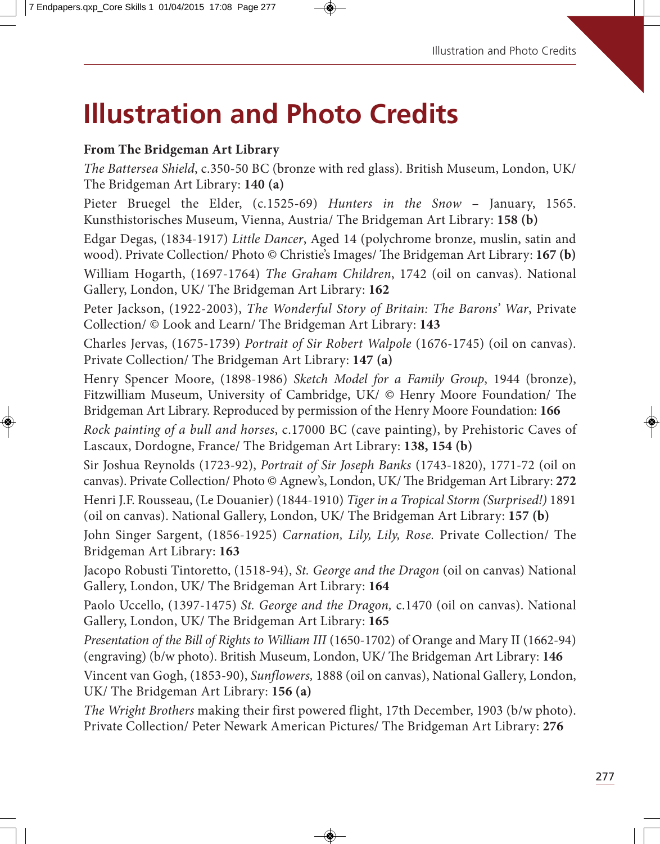# **Illustration and Photo Credits**

#### **From The Bridgeman Art Library**

The Battersea Shield, c.350-50 BC (bronze with red glass). British Museum, London, UK/ The Bridgeman Art Library: **140 (a)**

Pieter Bruegel the Elder, (c.1525-69) Hunters in the Snow - January, 1565. Kunsthistorisches Museum, Vienna, Austria/ The Bridgeman Art Library: **158 (b)**

Edgar Degas, (1834-1917) Little Dancer, Aged 14 (polychrome bronze, muslin, satin and wood). Private Collection/ Photo © Christie's Images/ The Bridgeman Art Library: 167 (b) William Hogarth, (1697-1764) The Graham Children, 1742 (oil on canvas). National Gallery, London, UK/ The Bridgeman Art Library: **162**

Peter Jackson, (1922-2003), The Wonderful Story of Britain: The Barons' War, Private Collection/ © Look and Learn/ The Bridgeman Art Library: **143**

Charles Jervas, (1675-1739) Portrait of Sir Robert Walpole (1676-1745) (oil on canvas). Private Collection/ The Bridgeman Art Library: **147 (a)**

Henry Spencer Moore, (1898-1986) Sketch Model for a Family Group, 1944 (bronze), Fitzwilliam Museum, University of Cambridge, UK/ © Henry Moore Foundation/ The Bridgeman Art Library. Reproduced by permission of the Henry Moore Foundation: **166**

Rock painting of a bull and horses, c.17000 BC (cave painting), by Prehistoric Caves of Lascaux, Dordogne, France/ The Bridgeman Art Library: **138, 154 (b)**

Sir Joshua Reynolds (1723-92), Portrait of Sir Joseph Banks (1743-1820), 1771-72 (oil on canvas). Private Collection/ Photo © Agnew's, London, UK/ The Bridgeman Art Library: 272

Henri J.F. Rousseau, (Le Douanier) (1844-1910) Tiger in a Tropical Storm (Surprised!) 1891 (oil on canvas). National Gallery, London, UK/ The Bridgeman Art Library: **157 (b)**

John Singer Sargent, (1856-1925) Carnation, Lily, Lily, Rose. Private Collection/ The Bridgeman Art Library: **163**

Jacopo Robusti Tintoretto, (1518-94), St. George and the Dragon (oil on canvas) National Gallery, London, UK/ The Bridgeman Art Library: **164**

Paolo Uccello, (1397-1475) St. George and the Dragon, c.1470 (oil on canvas). National Gallery, London, UK/ The Bridgeman Art Library: **165**

Presentation of the Bill of Rights to William III (1650-1702) of Orange and Mary II (1662-94) (engraving) (b/w photo). British Museum, London, UK/ The Bridgeman Art Library: 146

Vincent van Gogh, (1853-90), Sunflowers, 1888 (oil on canvas), National Gallery, London, UK/ The Bridgeman Art Library: **156 (a)**

The Wright Brothers making their first powered flight, 17th December, 1903 (b/w photo). Private Collection/ Peter Newark American Pictures/ The Bridgeman Art Library: **276**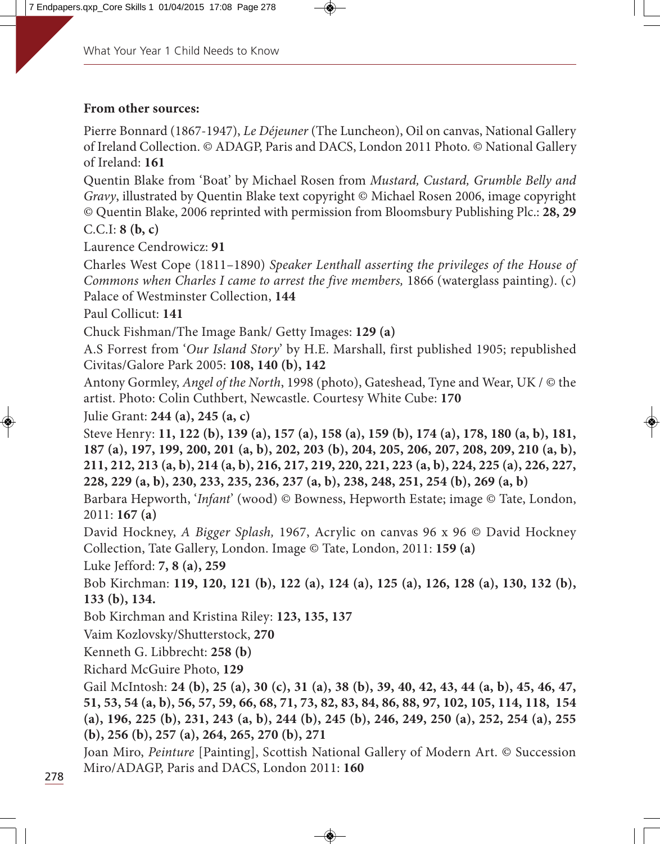#### **From other sources:**

Pierre Bonnard (1867-1947), Le Déjeuner (The Luncheon), Oil on canvas, National Gallery of Ireland Collection. © ADAGP, Paris and DACS, London 2011 Photo. © National Gallery of Ireland: **161**

Quentin Blake from 'Boat' by Michael Rosen from Mustard, Custard, Grumble Belly and Gravy, illustrated by Quentin Blake text copyright © Michael Rosen 2006, image copyright © Quentin Blake, 2006 reprinted with permission from Bloomsbury Publishing Plc.: **28, 29** C.C.I: **8 (b, c)**

Laurence Cendrowicz: **91**

Charles West Cope (1811–1890) Speaker Lenthall asserting the privileges of the House of Commons when Charles I came to arrest the five members, 1866 (waterglass painting). (c) Palace of Westminster Collection, **144**

Paul Collicut: **141**

Chuck Fishman/The Image Bank/ Getty Images: **129 (a)**

A.S Forrest from 'Our Island Story' by H.E. Marshall, first published 1905; republished Civitas/Galore Park 2005: **108, 140 (b), 142**

Antony Gormley, Angel of the North, 1998 (photo), Gateshead, Tyne and Wear, UK / © the artist. Photo: Colin Cuthbert, Newcastle. Courtesy White Cube: **170**

Julie Grant: **244 (a), 245 (a, c)**

Steve Henry: **11, 122 (b), 139 (a), 157 (a), 158 (a), 159 (b), 174 (a), 178, 180 (a, b), 181, 187 (a), 197, 199, 200, 201 (a, b), 202, 203 (b), 204, 205, 206, 207, 208, 209, 210 (a, b), 211, 212, 213 (a, b), 214 (a, b), 216, 217, 219, 220, 221, 223 (a, b), 224, 225 (a), 226, 227, 228, 229 (a, b), 230, 233, 235, 236, 237 (a, b), 238, 248, 251, 254 (b), 269 (a, b)**

Barbara Hepworth, 'Infant' (wood) © Bowness, Hepworth Estate; image © Tate, London, 2011: **167 (a)**

David Hockney, A Bigger Splash, 1967, Acrylic on canvas 96 x 96 © David Hockney Collection, Tate Gallery, London. Image © Tate, London, 2011: **159 (a)**

Luke Jefford: **7, 8 (a), 259**

Bob Kirchman: **119, 120, 121 (b), 122 (a), 124 (a), 125 (a), 126, 128 (a), 130, 132 (b), 133 (b), 134.**

Bob Kirchman and Kristina Riley: **123, 135, 137**

Vaim Kozlovsky/Shutterstock, **270**

Kenneth G. Libbrecht: **258 (b)**

Richard McGuire Photo, **129**

Gail McIntosh: **24 (b), 25 (a), 30 (c), 31 (a), 38 (b), 39, 40, 42, 43, 44 (a, b), 45, 46, 47, 51, 53, 54 (a, b), 56, 57, 59, 66, 68, 71, 73, 82, 83, 84, 86, 88, 97, 102, 105, 114, 118, 154 (a), 196, 225 (b), 231, 243 (a, b), 244 (b), 245 (b), 246, 249, 250 (a), 252, 254 (a), 255 (b), 256 (b), 257 (a), 264, 265, 270 (b), 271**

Joan Miro, Peinture [Painting], Scottish National Gallery of Modern Art. © Succession Miro/ADAGP, Paris and DACS, London 2011: **160**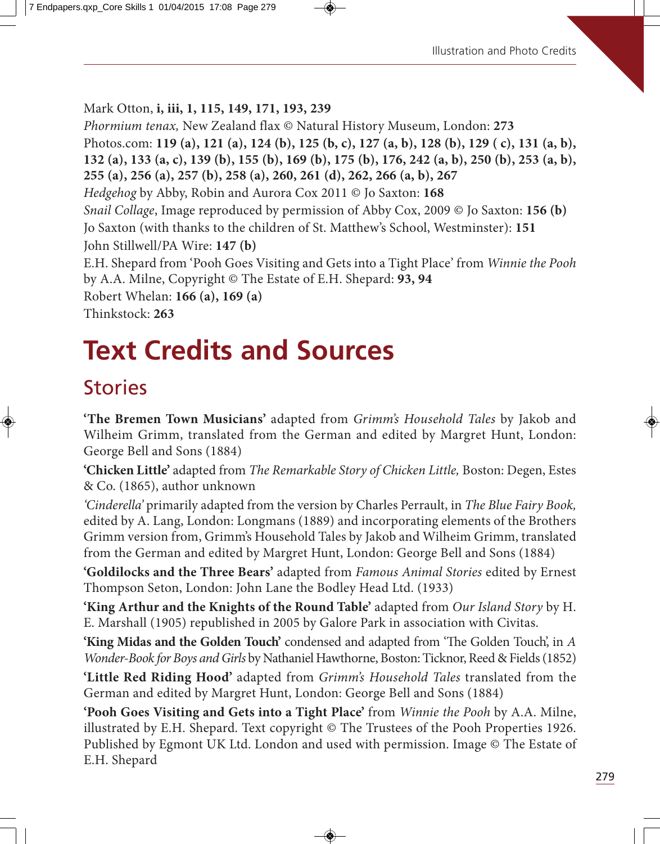Mark Otton, **i, iii, 1, 115, 149, 171, 193, 239**

Phormium tenax, New Zealand flax © Natural History Museum, London: **273** Photos.com: **119 (a), 121 (a), 124 (b), 125 (b, c), 127 (a, b), 128 (b), 129 ( c), 131 (a, b), 132 (a), 133 (a, c), 139 (b), 155 (b), 169 (b), 175 (b), 176, 242 (a, b), 250 (b), 253 (a, b), 255 (a), 256 (a), 257 (b), 258 (a), 260, 261 (d), 262, 266 (a, b), 267** Hedgehog by Abby, Robin and Aurora Cox 2011 © Jo Saxton: **168** Snail Collage, Image reproduced by permission of Abby Cox, 2009 © Jo Saxton: **156 (b)** Jo Saxton (with thanks to the children of St. Matthew's School, Westminster): **151** John Stillwell/PA Wire: **147 (b)** E.H. Shepard from 'Pooh Goes Visiting and Gets into a Tight Place' from Winnie the Pooh by A.A. Milne, Copyright © The Estate of E.H. Shepard: **93, 94** Robert Whelan: **166 (a), 169 (a)** Thinkstock: **263**

# **Text Credits and Sources**

# **Stories**

**'The Bremen Town Musicians'** adapted from Grimm's Household Tales by Jakob and Wilheim Grimm, translated from the German and edited by Margret Hunt, London: George Bell and Sons (1884)

**'Chicken Little'** adapted from The Remarkable Story of Chicken Little, Boston: Degen, Estes & Co. (1865), author unknown

'Cinderella' primarily adapted from the version by Charles Perrault, in The Blue Fairy Book, edited by A. Lang, London: Longmans (1889) and incorporating elements of the Brothers Grimm version from, Grimm's Household Tales by Jakob and Wilheim Grimm, translated from the German and edited by Margret Hunt, London: George Bell and Sons (1884)

**'Goldilocks and the Three Bears'** adapted from Famous Animal Stories edited by Ernest Thompson Seton, London: John Lane the Bodley Head Ltd. (1933)

**'King Arthur and the Knights of the Round Table'** adapted from Our Island Story by H. E. Marshall (1905) republished in 2005 by Galore Park in association with Civitas.

'King Midas and the Golden Touch' condensed and adapted from 'The Golden Touch', in A Wonder-Book for Boys and Girls by Nathaniel Hawthorne, Boston: Ticknor, Reed & Fields (1852)

**'Little Red Riding Hood'** adapted from Grimm's Household Tales translated from the German and edited by Margret Hunt, London: George Bell and Sons (1884)

**'Pooh Goes Visiting and Gets into a Tight Place'** from Winnie the Pooh by A.A. Milne, illustrated by E.H. Shepard. Text copyright © The Trustees of the Pooh Properties 1926. Published by Egmont UK Ltd. London and used with permission. Image © The Estate of E.H. Shepard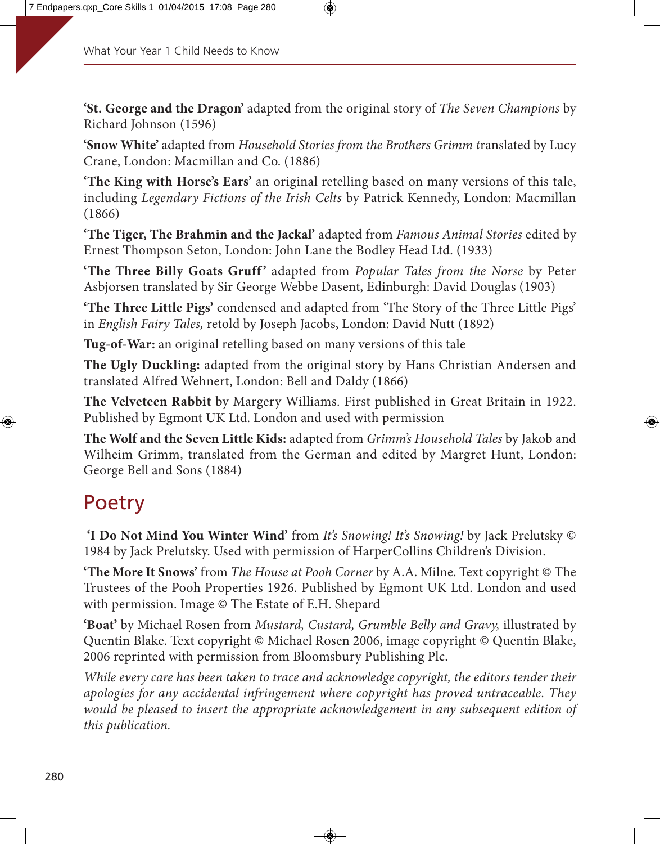**'St. George and the Dragon'** adapted from the original story of The Seven Champions by Richard Johnson (1596)

**'Snow White'** adapted from Household Stories from the Brothers Grimm translated by Lucy Crane, London: Macmillan and Co. (1886)

**'The King with Horse's Ears'** an original retelling based on many versions of this tale, including Legendary Fictions of the Irish Celts by Patrick Kennedy, London: Macmillan (1866)

**'The Tiger, The Brahmin and the Jackal'** adapted from Famous Animal Stories edited by Ernest Thompson Seton, London: John Lane the Bodley Head Ltd. (1933)

'The Three Billy Goats Gruff' adapted from Popular Tales from the Norse by Peter Asbjorsen translated by Sir George Webbe Dasent, Edinburgh: David Douglas (1903)

**'The Three Little Pigs'** condensed and adapted from 'The Story of the Three Little Pigs' in English Fairy Tales, retold by Joseph Jacobs, London: David Nutt (1892)

**Tug-of-War:** an original retelling based on many versions of this tale

**The Ugly Duckling:** adapted from the original story by Hans Christian Andersen and translated Alfred Wehnert, London: Bell and Daldy (1866)

**The Velveteen Rabbit** by Margery Williams. First published in Great Britain in 1922. Published by Egmont UK Ltd. London and used with permission

**The Wolf and the Seven Little Kids:** adapted from Grimm's Household Tales by Jakob and Wilheim Grimm, translated from the German and edited by Margret Hunt, London: George Bell and Sons (1884)

# Poetry

**'I Do Not Mind You Winter Wind'** from It's Snowing! It's Snowing! by Jack Prelutsky © 1984 by Jack Prelutsky. Used with permission of HarperCollins Children's Division.

**'The More It Snows'** from The House at Pooh Corner by A.A. Milne. Text copyright © The Trustees of the Pooh Properties 1926. Published by Egmont UK Ltd. London and used with permission. Image © The Estate of E.H. Shepard

**'Boat'** by Michael Rosen from Mustard, Custard, Grumble Belly and Gravy, illustrated by Quentin Blake. Text copyright © Michael Rosen 2006, image copyright © Quentin Blake, 2006 reprinted with permission from Bloomsbury Publishing Plc.

While every care has been taken to trace and acknowledge copyright, the editors tender their apologies for any accidental infringement where copyright has proved untraceable. They would be pleased to insert the appropriate acknowledgement in any subsequent edition of this publication.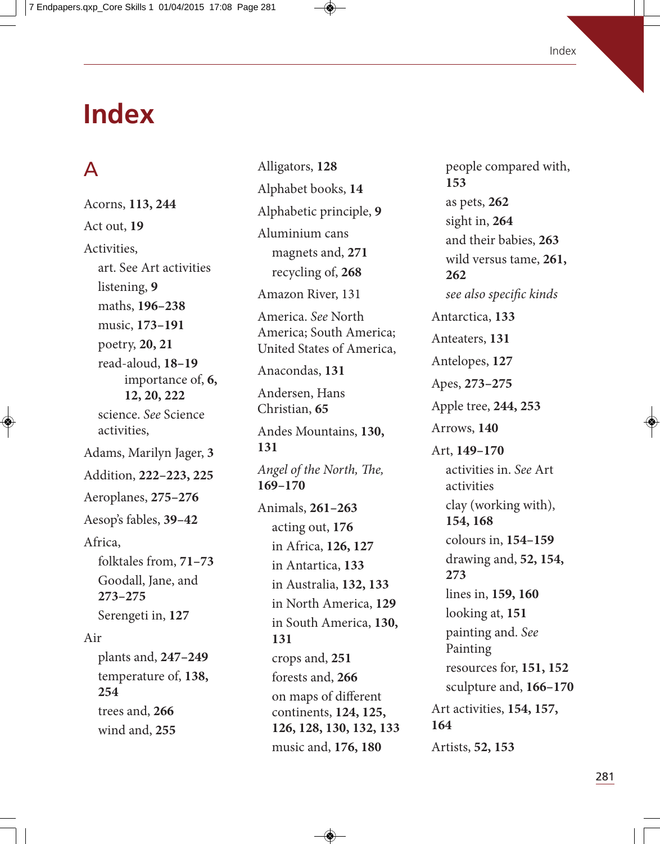# **Index**

# A

Acorns, **113, 244** Act out, **19** Activities, art. See Art activities listening, **9** maths, **196–238** music, **173–191** poetry, **20, 21** read-aloud, **18–19** importance of, **6, 12, 20, 222** science. See Science activities, Adams, Marilyn Jager, **3** Addition, **222–223, 225** Aeroplanes, **275–276** Aesop's fables, **39–42** Africa, folktales from, **71–73** Goodall, Jane, and **273–275** Serengeti in, **127** Air plants and, **247–249** temperature of, **138, 254** trees and, **266** wind and, **255**

Alligators, **128** Alphabet books, **14** Alphabetic principle, **9** Aluminium cans magnets and, **271** recycling of, **268** Amazon River, 131 America. See North America; South America; United States of America, Anacondas, **131** Andersen, Hans Christian, **65** Andes Mountains, **130, 131** Angel of the North, The, **169–170**  Animals, **261–263** acting out, **176** in Africa, **126, 127** in Antartica, **133** in Australia, **132, 133** in North America, **129** in South America, **130, 131** crops and, **251** forests and, **266** on maps of different continents, **124, 125, 126, 128, 130, 132, 133** music and, **176, 180**

people compared with, **153** as pets, **262** sight in, **264** and their babies, **263** wild versus tame, **261, 262** see also specific kinds Antarctica, **133** Anteaters, **131** Antelopes, **127** Apes, **273–275** Apple tree, **244, 253** Arrows, **140** Art, **149–170** activities in. See Art activities clay (working with), **154, 168** colours in, **154–159** drawing and, **52, 154, 273** lines in, **159, 160** looking at, **151** painting and. See Painting resources for, **151, 152** sculpture and, **166–170** Art activities, **154, 157, 164** Artists, **52, 153**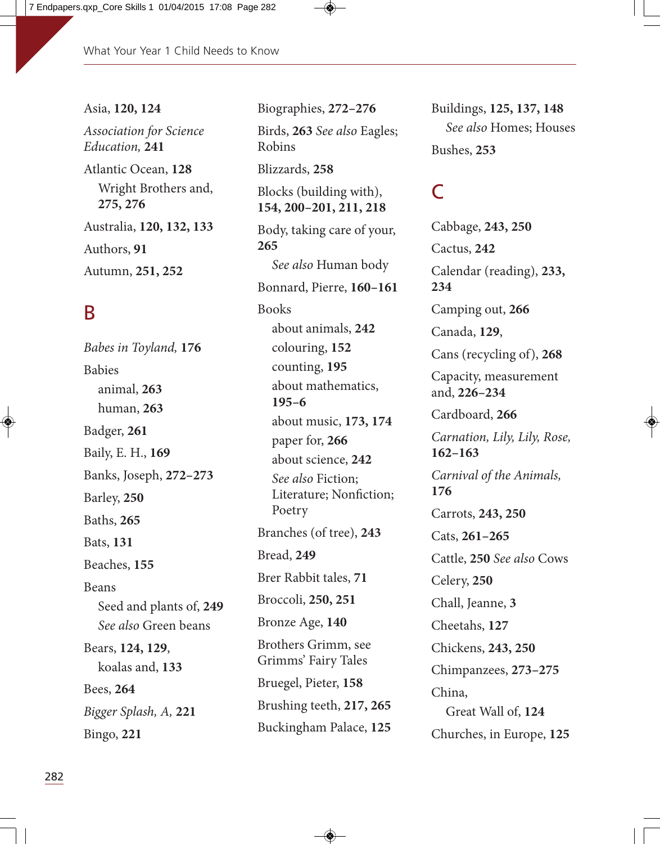#### Asia, **120, 124**

Association for Science Education, **241** Atlantic Ocean, **128**

Wright Brothers and, **275, 276** Australia, **120, 132, 133** Authors, **91** Autumn, **251, 252**

#### B

Babes in Toyland, **176** Babies animal, **263** human, **263** Badger, **261** Baily, E. H., **169** Banks, Joseph, **272–273** Barley, **250** Baths, **265** Bats, **131** Beaches, **155** Beans Seed and plants of, **249** See also Green beans Bears, **124, 129**, koalas and, **133** Bees, **264** Bigger Splash, A, **221** Bingo, **221**

Biographies, **272–276** Birds, **263** See also Eagles; Robins Blizzards, **258** Blocks (building with), **154, 200–201, 211, 218** Body, taking care of your, **265** See also Human body Bonnard, Pierre, **160–161** Books about animals, **242** colouring, **152** counting, **195** about mathematics, **195–6** about music, **173, 174** paper for, **266** about science, **242** See also Fiction; Literature; Nonfiction; Poetry Branches (of tree), **243** Bread, **249** Brer Rabbit tales, **71** Broccoli, **250, 251** Bronze Age, **140** Brothers Grimm, see Grimms' Fairy Tales Bruegel, Pieter, **158** Brushing teeth, **217, 265** Buckingham Palace, **125**

Buildings, **125, 137, 148** See also Homes; Houses Bushes, **253**

## $\Gamma$

Cabbage, **243, 250** Cactus, **242** Calendar (reading), **233, 234** Camping out, **266** Canada, **129**, Cans (recycling of), **268** Capacity, measurement and, **226–234** Cardboard, **266** Carnation, Lily, Lily, Rose, **162–163** Carnival of the Animals, **176** Carrots, **243, 250** Cats, **261–265** Cattle, **250** See also Cows Celery, **250** Chall, Jeanne, **3** Cheetahs, **127** Chickens, **243, 250** Chimpanzees, **273–275** China, Great Wall of, **124** Churches, in Europe, **125**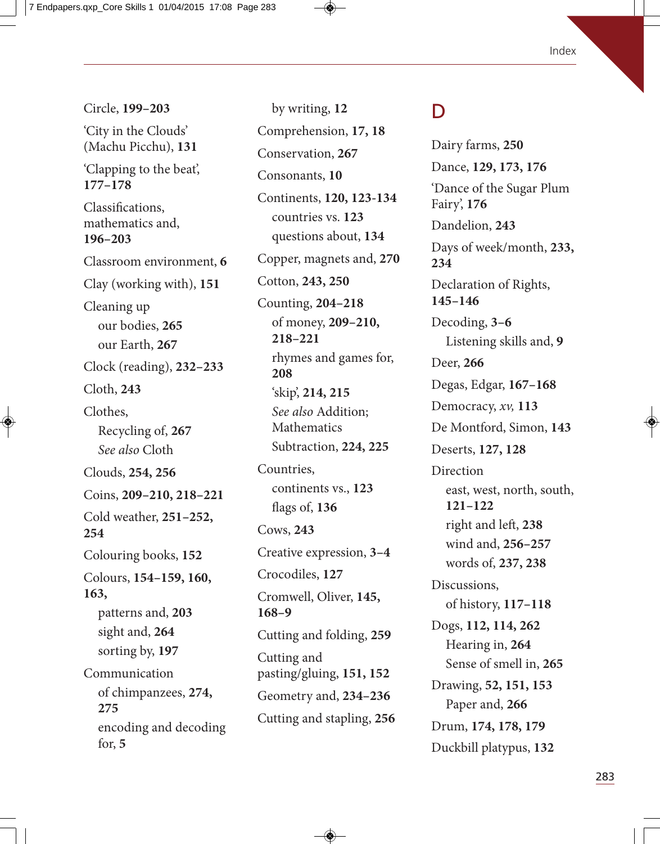#### Index

Circle, **199–203** 'City in the Clouds' (Machu Picchu), **131** 'Clapping to the beat', **177–178** Classifications, mathematics and, **196–203** Classroom environment, **6** Clay (working with), **151** Cleaning up our bodies, **265** our Earth, **267** Clock (reading), **232–233** Cloth, **243** Clothes, Recycling of, **267** See also Cloth Clouds, **254, 256** Coins, **209–210, 218–221** Cold weather, **251–252, 254** Colouring books, **152** Colours, **154–159, 160, 163,**  patterns and, **203** sight and, **264** sorting by, **197** Communication of chimpanzees, **274, 275** encoding and decoding for, **5**

by writing, **12** Comprehension, **17, 18** Conservation, **267** Consonants, **10** Continents, **120, 123-134** countries vs. **123** questions about, **134** Copper, magnets and, **270** Cotton, **243, 250** Counting, **204–218** of money, **209–210, 218–221** rhymes and games for, **208** 'skip', **214, 215** See also Addition; Mathematics Subtraction, **224, 225** Countries, continents vs., **123** flags of, **136** Cows, **243** Creative expression, **3–4** Crocodiles, **127** Cromwell, Oliver, **145, 168–9** Cutting and folding, **259** Cutting and pasting/gluing, **151, 152** Geometry and, **234–236** Cutting and stapling, **256**

#### D

Dairy farms, **250** Dance, **129, 173, 176** 'Dance of the Sugar Plum Fairy', **176** Dandelion, **243** Days of week/month, **233, 234** Declaration of Rights, **145–146** Decoding, **3–6** Listening skills and, **9** Deer, **266** Degas, Edgar, **167–168** Democracy, xv, **113** De Montford, Simon, **143** Deserts, **127, 128 Direction** east, west, north, south, **121–122** right and left, 238 wind and, **256–257** words of, **237, 238** Discussions, of history, **117–118** Dogs, **112, 114, 262** Hearing in, **264** Sense of smell in, **265** Drawing, **52, 151, 153** Paper and, **266** Drum, **174, 178, 179** Duckbill platypus, **132**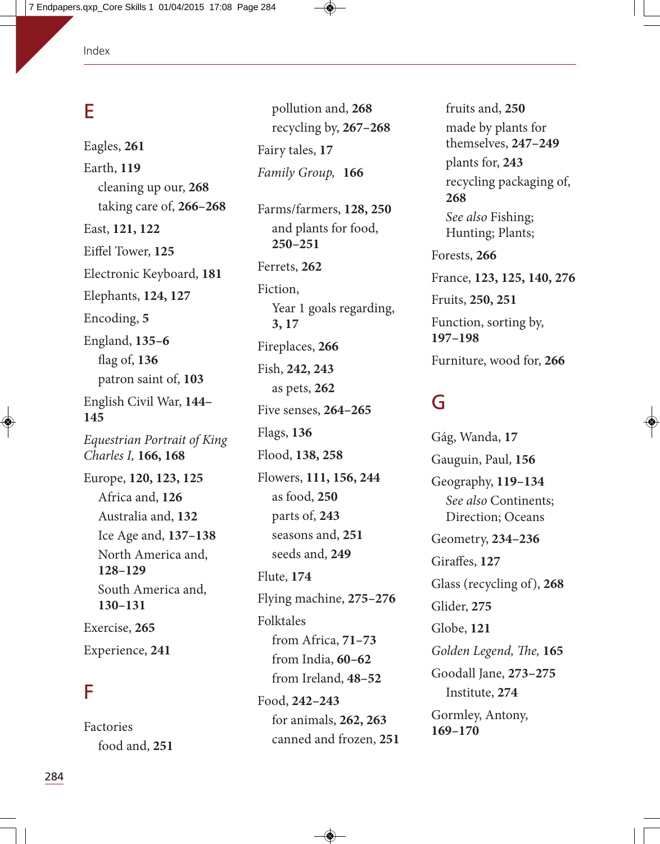#### E

Eagles, **261** Earth, **119** cleaning up our, **268** taking care of, **266–268** East, **121, 122** Eiffel Tower, **125** Electronic Keyboard, **181** Elephants, **124, 127** Encoding, **5** England, **135–6** flag of, **136** patron saint of, **103** English Civil War, **144– 145** Equestrian Portrait of King Charles I, **166, 168**  Europe, **120, 123, 125** Africa and, **126** Australia and, **132** Ice Age and, **137–138** North America and, **128–129** South America and, **130–131** Exercise, **265** Experience, **241**

#### F

Factories food and, **251**

pollution and, **268** recycling by, **267–268** Fairy tales, **17**  Family Group, **166**

Farms/farmers, **128, 250** and plants for food, **250–251** Ferrets, **262** Fiction, Year 1 goals regarding, **3, 17** Fireplaces, **266** Fish, **242, 243** as pets, **262** Five senses, **264–265** Flags, **136** Flood, **138, 258** Flowers, **111, 156, 244** as food, **250** parts of, **243** seasons and, **251** seeds and, **249** Flute, **174** Flying machine, **275–276** Folktales from Africa, **71–73** from India, **60–62** from Ireland, **48–52** Food, **242–243** for animals, **262, 263** canned and frozen, **251**

fruits and, **250** made by plants for themselves, **247–249** plants for, **243** recycling packaging of, **268** See also Fishing; Hunting; Plants; Forests, **266** France, **123, 125, 140, 276** Fruits, **250, 251** Function, sorting by, **197–198** Furniture, wood for, **266**

#### G

Gág, Wanda, **17** Gauguin, Paul, **156**  Geography, **119–134** See also Continents; Direction; Oceans Geometry, **234–236** Giraffes, **127** Glass (recycling of), **268** Glider, **275** Globe, **121** Golden Legend, The, 165 Goodall Jane, **273–275** Institute, **274** Gormley, Antony, **169–170**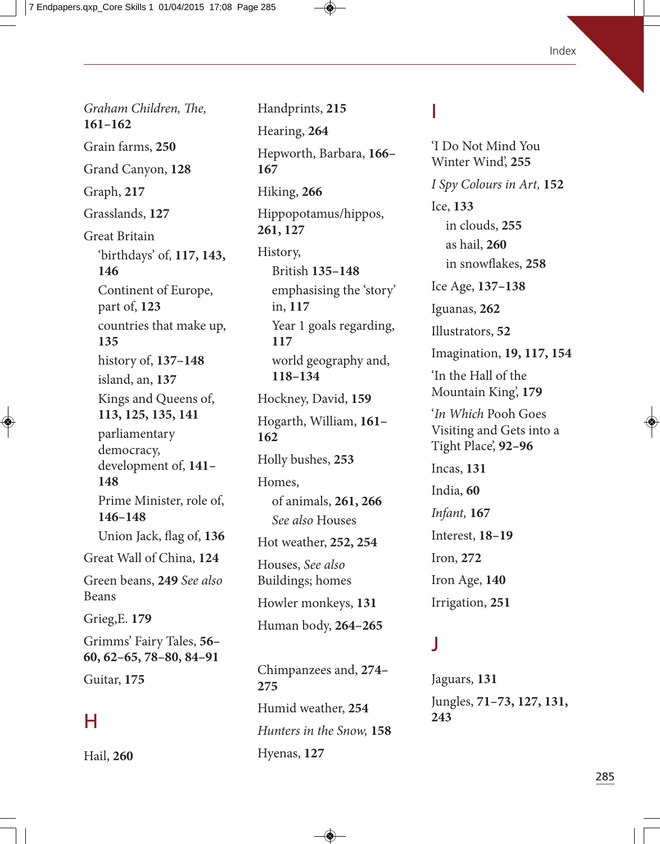Graham Children, The, **161–162** Grain farms, **250** Grand Canyon, **128** Graph, **217** Grasslands, **127** Great Britain 'birthdays' of, **117, 143, 146** Continent of Europe, part of, **123** countries that make up, **135** history of, **137–148** island, an, **137** Kings and Queens of, **113, 125, 135, 141** parliamentary democracy, development of, **141– 148** Prime Minister, role of, **146–148** Union Jack, flag of, **136** Great Wall of China, **124** Green beans, **249** See also Beans Grieg,E. **179** Grimms' Fairy Tales, **56– 60, 62–65, 78–80, 84–91** Guitar, **175**

## H

Hail, **260**

Handprints, **215**  Hearing, **264** Hepworth, Barbara, **166– 167** Hiking, **266** Hippopotamus/hippos, **261, 127** History, British **135–148** emphasising the 'story' in, **117** Year 1 goals regarding, **117** world geography and, **118–134** Hockney, David, **159**  Hogarth, William, **161– 162** Holly bushes, **253** Homes, of animals, **261, 266** See also Houses Hot weather, **252, 254** Houses, See also Buildings; homes Howler monkeys, **131**  Human body, **264–265**

Chimpanzees and, **274– 275** Humid weather, **254** Hunters in the Snow, **158** Hyenas, **127**

#### I

'I Do Not Mind You Winter Wind', **255**  I Spy Colours in Art, **152** Ice, **133** in clouds, **255** as hail, **260**  in snowflakes, **258** Ice Age, **137–138** Iguanas, **262** Illustrators, **52** Imagination, **19, 117, 154** 'In the Hall of the Mountain King', **179** 'In Which Pooh Goes Visiting and Gets into a Tight Place', **92–96** Incas, **131** India, **60** Infant, **167**  Interest, **18–19** Iron, **272** Iron Age, **140** Irrigation, **251**

#### J

Jaguars, **131** Jungles, **71–73, 127, 131, 243**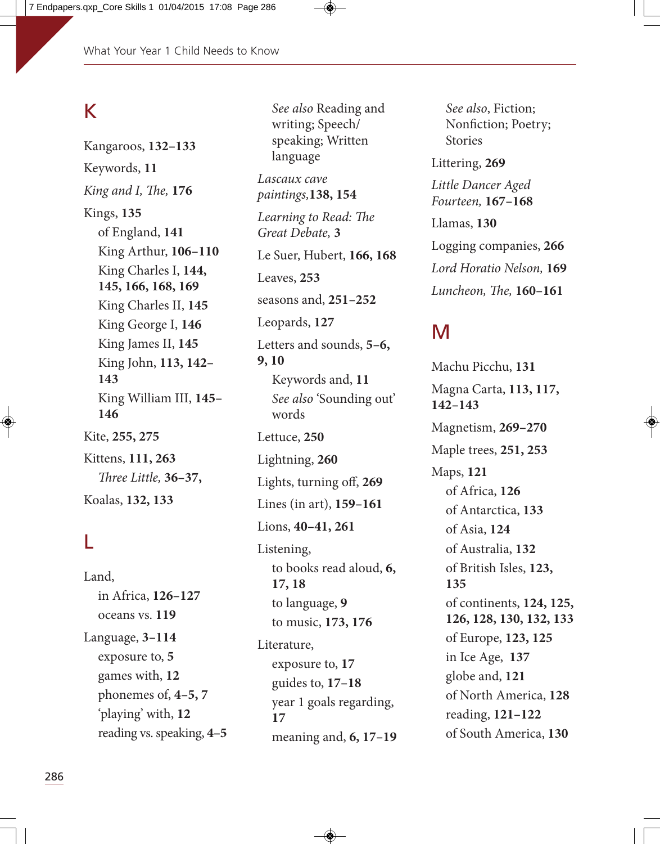# K

Kangaroos, **132–133** Keywords, **11** King and I, The, 176 Kings, **135** of England, **141** King Arthur, **106–110** King Charles I, **144, 145, 166, 168, 169** King Charles II, **145** King George I, **146** King James II, **145** King John, **113, 142– 143** King William III, **145– 146** Kite, **255, 275** Kittens, **111, 263** *Fhree Little,* **36–37,** Koalas, **132, 133**

# L

Land, in Africa, **126–127** oceans vs. **119**  Language, **3–114** exposure to, **5** games with, **12** phonemes of, **4–5, 7** 'playing' with, **12** reading vs. speaking, **4–5**

language Lascaux cave paintings,**138, 154**  Learning to Read: The Great Debate, **3** Le Suer, Hubert, **166, 168** Leaves, **253** seasons and, **251–252** Leopards, **127** Letters and sounds, **5–6, 9, 10** Keywords and, **11** See also 'Sounding out' words Lettuce, **250** Lightning, **260** Lights, turning off, **269** Lines (in art), **159–161** Lions, **40–41, 261** Listening, to books read aloud, **6, 17, 18** to language, **9** to music, **173, 176** Literature, exposure to, **17** guides to, **17–18** year 1 goals regarding, **17** meaning and, **6, 17–19**

See also Reading and writing; Speech/ speaking; Written

See also, Fiction; Nonfiction; Poetry; Stories Littering, **269** Little Dancer Aged Fourteen, **167–168** Llamas, **130** Logging companies, **266** Lord Horatio Nelson, **169** Luncheon, The, 160-161

#### M

Machu Picchu, **131** Magna Carta, **113, 117, 142–143** Magnetism, **269–270** Maple trees, **251, 253** Maps, **121** of Africa, **126** of Antarctica, **133** of Asia, **124** of Australia, **132** of British Isles, **123, 135** of continents, **124, 125, 126, 128, 130, 132, 133**  of Europe, **123, 125** in Ice Age, **137** globe and, **121** of North America, **128** reading, **121–122** of South America, **130**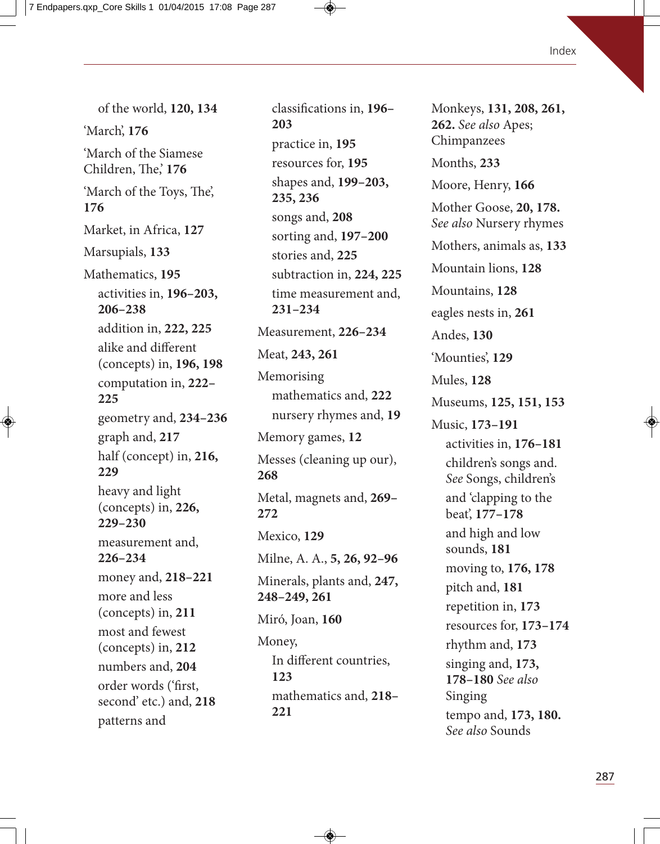of the world, **120, 134** 'March', **176** 'March of the Siamese Children, The, 176 'March of the Toys, The', **176**  Market, in Africa, **127** Marsupials, **133** Mathematics, **195** activities in, **196–203, 206–238** addition in, **222, 225** alike and different (concepts) in, **196, 198** computation in, **222– 225**  geometry and, **234–236** graph and, **217** half (concept) in, **216, 229** heavy and light (concepts) in, **226, 229–230** measurement and, **226–234** money and, **218–221** more and less (concepts) in, **211** most and fewest (concepts) in, **212** numbers and, **204** order words ('first, second' etc.) and, **218** patterns and

classifications in, **196– 203** practice in, **195** resources for, **195** shapes and, **199–203, 235, 236** songs and, **208** sorting and, **197–200** stories and, **225**  subtraction in, **224, 225** time measurement and, **231–234** Measurement, **226–234** Meat, **243, 261** Memorising mathematics and, **222** nursery rhymes and, **19** Memory games, **12** Messes (cleaning up our), **268** Metal, magnets and, **269– 272** Mexico, **129** Milne, A. A., **5, 26, 92–96** Minerals, plants and, **247, 248–249, 261** Miró, Joan, **160** Money, In different countries, **123** mathematics and, **218– 221**

Monkeys, **131, 208, 261, 262.** See also Apes; Chimpanzees Months, **233** Moore, Henry, **166** Mother Goose, **20, 178.** See also Nursery rhymes Mothers, animals as, **133** Mountain lions, **128** Mountains, **128** eagles nests in, **261** Andes, **130** 'Mounties', **129** Mules, **128** Museums, **125, 151, 153** Music, **173–191** activities in, **176–181** children's songs and. See Songs, children's and 'clapping to the beat', **177–178** and high and low sounds, **181** moving to, **176, 178** pitch and, **181** repetition in, **173** resources for, **173–174** rhythm and, **173** singing and, **173, 178–180** See also Singing tempo and, **173, 180.** See also Sounds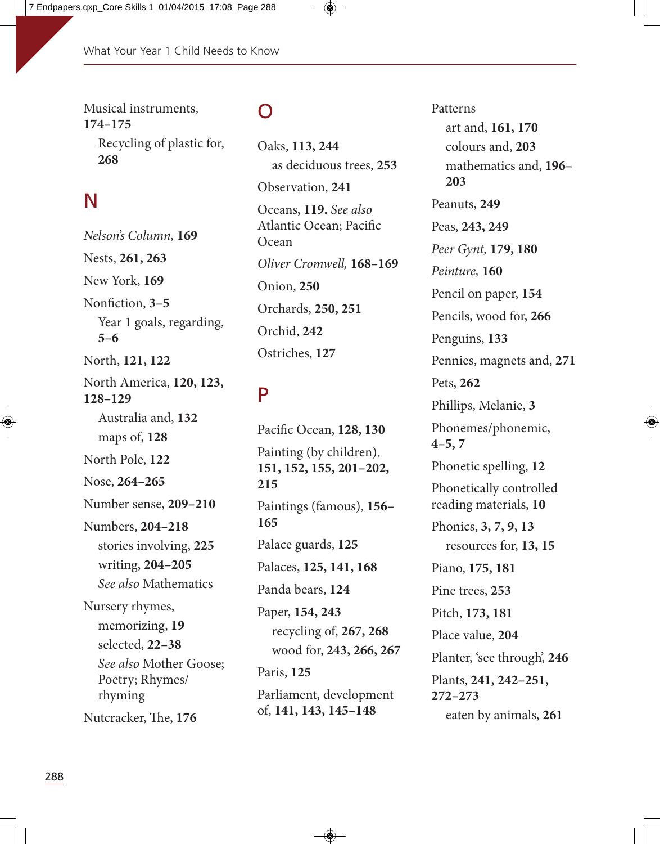Musical instruments, **174–175** Recycling of plastic for, **268**

# N

Nelson's Column, **169**  Nests, **261, 263** New York, **169** Nonfiction, **3–5** Year 1 goals, regarding, **5–6** North, **121, 122** North America, **120, 123, 128–129** Australia and, **132** maps of, **128** North Pole, **122** Nose, **264–265** Number sense, **209–210** Numbers, **204–218** stories involving, **225** writing, **204–205** See also Mathematics Nursery rhymes, memorizing, **19** selected, **22–38** See also Mother Goose; Poetry; Rhymes/ rhyming Nutcracker, The, 176

#### O

Oaks, **113, 244** as deciduous trees, **253** Observation, **241** Oceans, **119.** See also Atlantic Ocean; Pacific **Ocean** Oliver Cromwell, **168–169**  Onion, **250** Orchards, **250, 251** Orchid, **242** Ostriches, **127**

# P

Pacific Ocean, **128, 130** Painting (by children), **151, 152, 155, 201–202, 215** Paintings (famous), **156– 165** Palace guards, **125** Palaces, **125, 141, 168** Panda bears, **124** Paper, **154, 243** recycling of, **267, 268** wood for, **243, 266, 267** Paris, **125** Parliament, development of, **141, 143, 145–148**

Patterns art and, **161, 170** colours and, **203** mathematics and, **196– 203** Peanuts, **249** Peas, **243, 249** Peer Gynt, **179, 180** Peinture, **160**  Pencil on paper, **154** Pencils, wood for, **266** Penguins, **133** Pennies, magnets and, **271** Pets, **262** Phillips, Melanie, **3** Phonemes/phonemic, **4–5, 7** Phonetic spelling, **12** Phonetically controlled reading materials, **10** Phonics, **3, 7, 9, 13** resources for, **13, 15** Piano, **175, 181** Pine trees, **253** Pitch, **173, 181** Place value, **204** Planter, 'see through', **246** Plants, **241, 242–251, 272–273** eaten by animals, **261**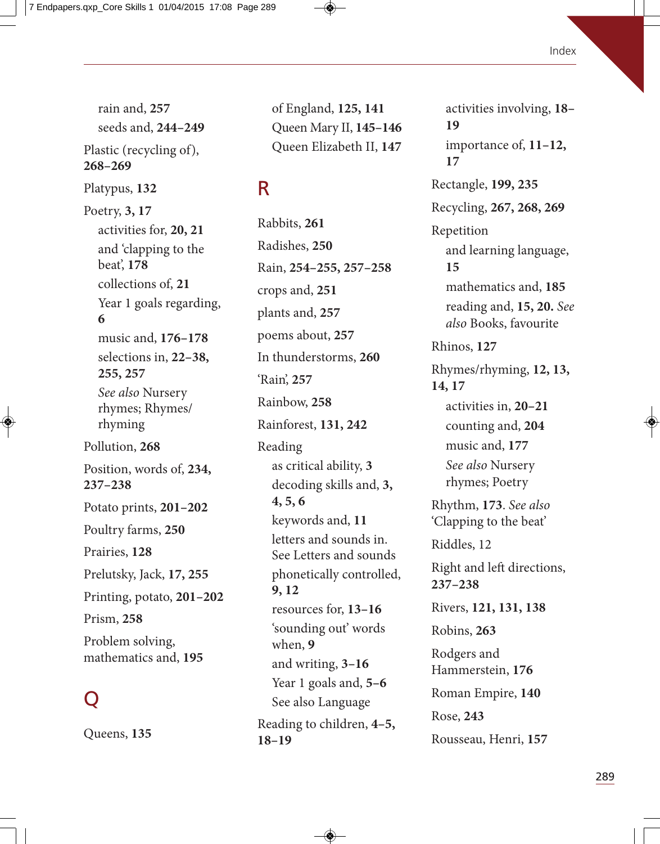rain and, **257** seeds and, **244–249** Plastic (recycling of), **268–269** Platypus, **132** Poetry, **3, 17** activities for, **20, 21** and 'clapping to the beat', **178** collections of, **21** Year 1 goals regarding, **6** music and, **176–178** selections in, **22–38, 255, 257** See also Nursery rhymes; Rhymes/ rhyming Pollution, **268** Position, words of, **234, 237–238** Potato prints, **201–202** Poultry farms, **250** Prairies, **128** Prelutsky, Jack, **17, 255** Printing, potato, **201–202** Prism, **258** Problem solving, mathematics and, **195**

# Q

Queens, **135**

of England, **125, 141** Queen Mary II, **145–146** Queen Elizabeth II, **147**

# R

Rabbits, **261** Radishes, **250** Rain, **254–255, 257–258** crops and, **251** plants and, **257** poems about, **257** In thunderstorms, **260** 'Rain', **257** Rainbow, **258** Rainforest, **131, 242** Reading as critical ability, **3** decoding skills and, **3, 4, 5, 6** keywords and, **11** letters and sounds in. See Letters and sounds phonetically controlled, **9, 12** resources for, **13–16** 'sounding out' words when, **9** and writing, **3–16** Year 1 goals and, **5–6** See also Language Reading to children, **4–5, 18–19**

activities involving, **18– 19** importance of, **11–12, 17** Rectangle, **199, 235** Recycling, **267, 268, 269** Repetition and learning language, **15** mathematics and, **185** reading and, **15, 20.** See also Books, favourite Rhinos, **127** Rhymes/rhyming, **12, 13, 14, 17** activities in, **20–21** counting and, **204** music and, **177** See also Nursery rhymes; Poetry Rhythm, **173**. See also 'Clapping to the beat' Riddles, 12 Right and left directions, **237–238** Rivers, **121, 131, 138** Robins, **263** Rodgers and Hammerstein, **176** Roman Empire, **140** Rose, **243** Rousseau, Henri, **157**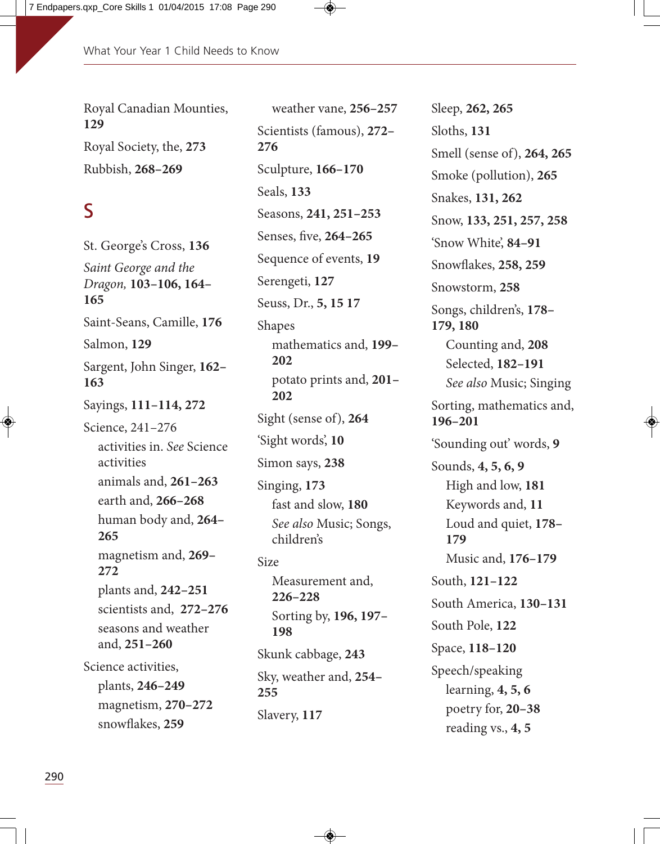Royal Canadian Mounties, **129** Royal Society, the, **273** Rubbish, **268–269**

#### S

St. George's Cross, **136** Saint George and the Dragon, **103–106, 164– 165** Saint-Seans, Camille, **176**  Salmon, **129** Sargent, John Singer, **162– 163** Sayings, **111–114, 272** Science, 241–276 activities in. See Science activities animals and, **261–263** earth and, **266–268** human body and, **264– 265** magnetism and, **269– 272** plants and, **242–251** scientists and, **272–276** seasons and weather and, **251–260** Science activities, plants, **246–249** magnetism, **270–272** snowflakes, **259**

weather vane, **256–257** Scientists (famous), **272– 276** Sculpture, **166–170** Seals, **133** Seasons, **241, 251–253** Senses, five, **264–265** Sequence of events, **19** Serengeti, **127** Seuss, Dr., **5, 15 17** Shapes mathematics and, **199– 202** potato prints and, **201– 202** Sight (sense of), **264** 'Sight words', **10** Simon says, **238** Singing, **173** fast and slow, **180** See also Music; Songs, children's Size Measurement and, **226–228** Sorting by, **196, 197– 198** Skunk cabbage, **243** Sky, weather and, **254– 255** Slavery, **117**

Sleep, **262, 265** Sloths, **131** Smell (sense of), **264, 265** Smoke (pollution), **265** Snakes, **131, 262** Snow, **133, 251, 257, 258** 'Snow White', **84–91** Snowflakes, **258, 259** Snowstorm, **258**  Songs, children's, **178– 179, 180** Counting and, **208** Selected, **182–191** See also Music; Singing Sorting, mathematics and, **196–201** 'Sounding out' words, **9** Sounds, **4, 5, 6, 9** High and low, **181** Keywords and, **11** Loud and quiet, **178– 179** Music and, **176–179** South, **121–122** South America, **130–131** South Pole, **122** Space, **118–120** Speech/speaking learning, **4, 5, 6** poetry for, **20–38** reading vs., **4, 5**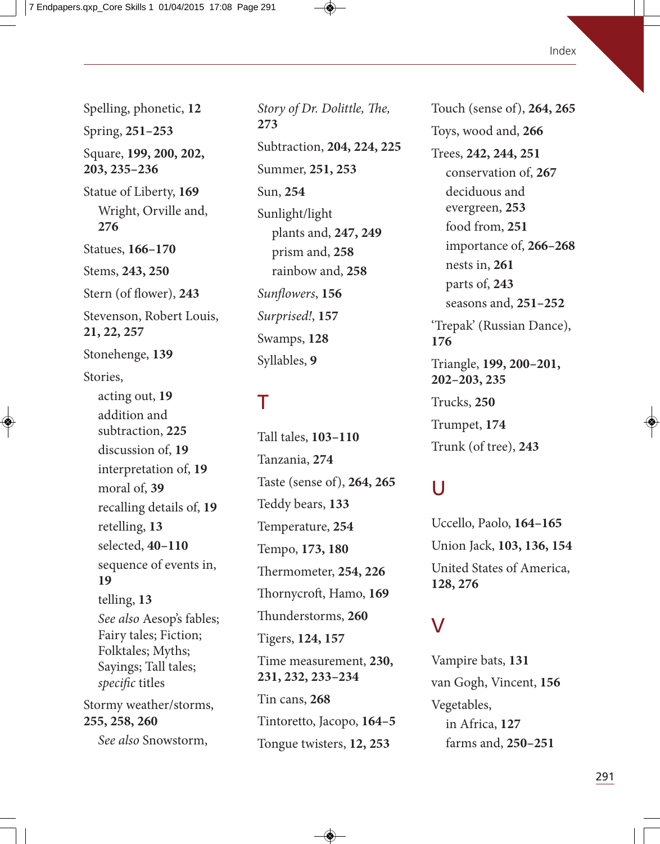Spelling, phonetic, **12** Spring, **251–253** Square, **199, 200, 202, 203, 235–236** Statue of Liberty, **169** Wright, Orville and, **276** Statues, **166–170** Stems, **243, 250** Stern (of flower), **243** Stevenson, Robert Louis, **21, 22, 257** Stonehenge, **139** Stories, acting out, **19** addition and subtraction, **225** discussion of, **19** interpretation of, **19** moral of, **39** recalling details of, **19** retelling, **13** selected, **40–110** sequence of events in, **19** telling, **13** See also Aesop's fables; Fairy tales; Fiction; Folktales; Myths; Sayings; Tall tales; specific titles Stormy weather/storms, **255, 258, 260**

See also Snowstorm,

Story of Dr. Dolittle, The, **273** Subtraction, **204, 224, 225** Summer, **251, 253** Sun, **254** Sunlight/light plants and, **247, 249** prism and, **258** rainbow and, **258** Sunflowers, **156** Surprised!, **157**  Swamps, **128** Syllables, **9**

#### T

Tall tales, **103–110** Tanzania, **274** Taste (sense of), **264, 265** Teddy bears, **133** Temperature, **254** Tempo, **173, 180** ermometer, **254, 226** Thornycroft, Hamo, 169 Thunderstorms, 260 Tigers, **124, 157** Time measurement, **230, 231, 232, 233–234** Tin cans, **268** Tintoretto, Jacopo, **164–5**  Tongue twisters, **12, 253**

Touch (sense of), **264, 265** Toys, wood and, **266** Trees, **242, 244, 251** conservation of, **267** deciduous and evergreen, **253** food from, **251** importance of, **266–268** nests in, **261** parts of, **243** seasons and, **251–252** 'Trepak' (Russian Dance), **176** Triangle, **199, 200–201, 202–203, 235** Trucks, **250** Trumpet, **174** Trunk (of tree), **243**

#### U

Uccello, Paolo, **164–165** Union Jack, **103, 136, 154** United States of America, **128, 276**

#### V

Vampire bats, **131** van Gogh, Vincent, **156** Vegetables, in Africa, **127** farms and, **250–251**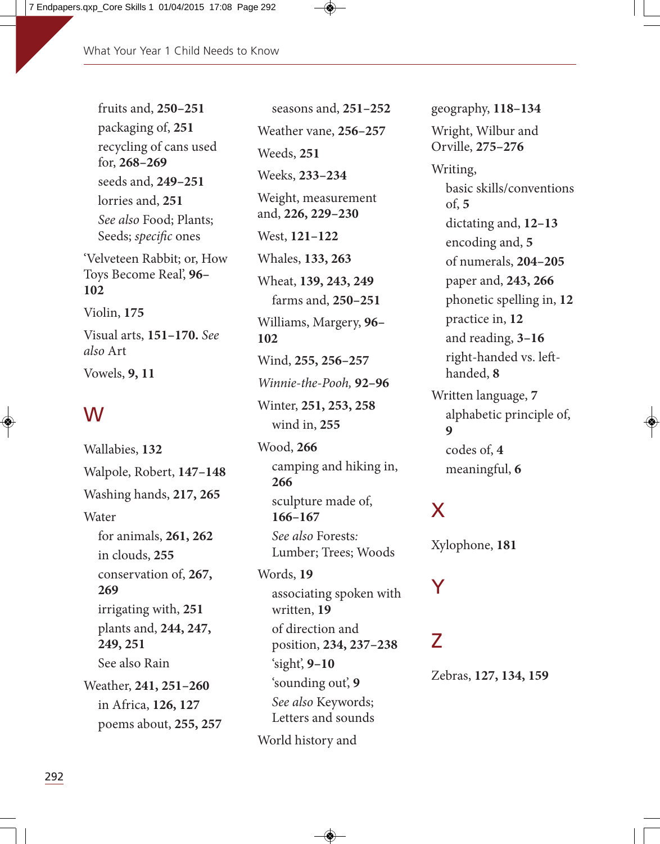fruits and, **250–251** packaging of, **251** recycling of cans used for, **268–269** seeds and, **249–251** lorries and, **251** See also Food; Plants; Seeds; specific ones 'Velveteen Rabbit; or, How Toys Become Real', **96– 102** Violin, **175** Visual arts, **151–170.** See also Art Vowels, **9, 11**

## W

Wallabies, **132** Walpole, Robert, **147–148** Washing hands, **217, 265 Water** for animals, **261, 262** in clouds, **255** conservation of, **267, 269** irrigating with, **251** plants and, **244, 247, 249, 251** See also Rain Weather, **241, 251–260** in Africa, **126, 127** poems about, **255, 257**

seasons and, **251–252** Weather vane, **256–257** Weeds, **251** Weeks, **233–234** Weight, measurement and, **226, 229–230** West, **121–122** Whales, **133, 263** Wheat, **139, 243, 249** farms and, **250–251** Williams, Margery, **96– 102** Wind, **255, 256–257** Winnie-the-Pooh, **92–96** Winter, **251, 253, 258** wind in, **255** Wood, **266** camping and hiking in, **266** sculpture made of, **166–167** See also Forests: Lumber; Trees; Woods Words, **19** associating spoken with written, **19** of direction and position, **234, 237–238** 'sight', **9–10**

'sounding out', **9** See also Keywords; Letters and sounds

World history and

geography, **118–134** Wright, Wilbur and Orville, **275–276** Writing, basic skills/conventions of, **5** dictating and, **12–13** encoding and, **5** of numerals, **204–205** paper and, **243, 266** phonetic spelling in, **12** practice in, **12** and reading, **3–16** right-handed vs. lefthanded, **8** Written language, **7** alphabetic principle of, **9** codes of, **4** meaningful, **6**

## X

Xylophone, **181**

Z

Y

Zebras, **127, 134, 159**